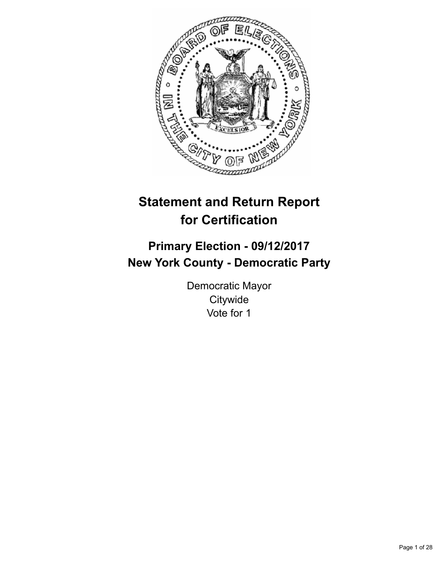

# **Statement and Return Report for Certification**

## **Primary Election - 09/12/2017 New York County - Democratic Party**

Democratic Mayor **Citywide** Vote for 1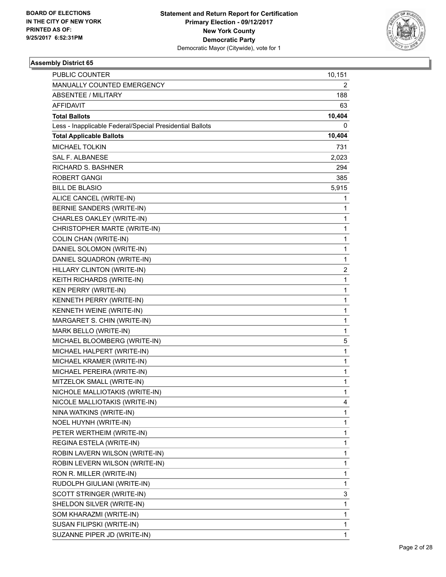

| <b>PUBLIC COUNTER</b>                                    | 10,151 |
|----------------------------------------------------------|--------|
| MANUALLY COUNTED EMERGENCY                               | 2      |
| <b>ABSENTEE / MILITARY</b>                               | 188    |
| <b>AFFIDAVIT</b>                                         | 63     |
| <b>Total Ballots</b>                                     | 10,404 |
| Less - Inapplicable Federal/Special Presidential Ballots | 0      |
| <b>Total Applicable Ballots</b>                          | 10,404 |
| <b>MICHAEL TOLKIN</b>                                    | 731    |
| <b>SAL F. ALBANESE</b>                                   | 2,023  |
| <b>RICHARD S. BASHNER</b>                                | 294    |
| <b>ROBERT GANGI</b>                                      | 385    |
| <b>BILL DE BLASIO</b>                                    | 5,915  |
| ALICE CANCEL (WRITE-IN)                                  | 1      |
| BERNIE SANDERS (WRITE-IN)                                | 1      |
| CHARLES OAKLEY (WRITE-IN)                                | 1      |
| CHRISTOPHER MARTE (WRITE-IN)                             | 1      |
| COLIN CHAN (WRITE-IN)                                    | 1      |
| DANIEL SOLOMON (WRITE-IN)                                | 1      |
| DANIEL SQUADRON (WRITE-IN)                               | 1      |
| HILLARY CLINTON (WRITE-IN)                               | 2      |
| KEITH RICHARDS (WRITE-IN)                                | 1      |
| <b>KEN PERRY (WRITE-IN)</b>                              | 1      |
| KENNETH PERRY (WRITE-IN)                                 | 1      |
| KENNETH WEINE (WRITE-IN)                                 | 1      |
| MARGARET S. CHIN (WRITE-IN)                              | 1      |
| MARK BELLO (WRITE-IN)                                    | 1      |
| MICHAEL BLOOMBERG (WRITE-IN)                             | 5      |
| MICHAEL HALPERT (WRITE-IN)                               | 1      |
| MICHAEL KRAMER (WRITE-IN)                                | 1      |
| MICHAEL PEREIRA (WRITE-IN)                               | 1      |
| MITZELOK SMALL (WRITE-IN)                                | 1      |
| NICHOLE MALLIOTAKIS (WRITE-IN)                           | 1      |
| NICOLE MALLIOTAKIS (WRITE-IN)                            | 4      |
| NINA WATKINS (WRITE-IN)                                  | 1      |
| NOEL HUYNH (WRITE-IN)                                    | 1      |
| PETER WERTHEIM (WRITE-IN)                                | 1      |
| REGINA ESTELA (WRITE-IN)                                 | 1      |
| ROBIN LAVERN WILSON (WRITE-IN)                           | 1      |
| ROBIN LEVERN WILSON (WRITE-IN)                           | 1      |
| RON R. MILLER (WRITE-IN)                                 | 1      |
| RUDOLPH GIULIANI (WRITE-IN)                              | 1      |
| SCOTT STRINGER (WRITE-IN)                                | 3      |
| SHELDON SILVER (WRITE-IN)                                | 1      |
| SOM KHARAZMI (WRITE-IN)                                  | 1      |
| SUSAN FILIPSKI (WRITE-IN)                                | 1      |
| SUZANNE PIPER JD (WRITE-IN)                              | 1      |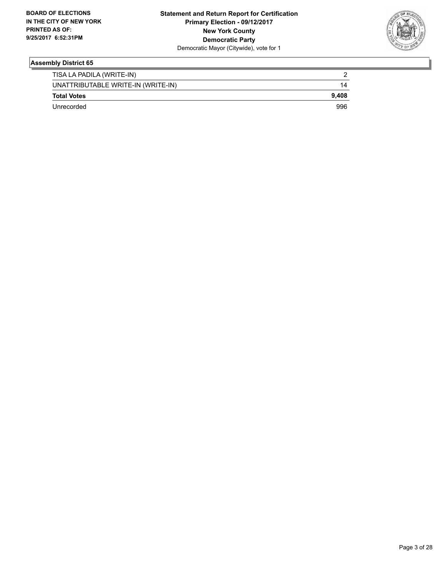

| TISA LA PADILA (WRITE-IN)          |       |
|------------------------------------|-------|
| UNATTRIBUTABLE WRITE-IN (WRITE-IN) | 14    |
| <b>Total Votes</b>                 | 9.408 |
| Unrecorded                         | 996   |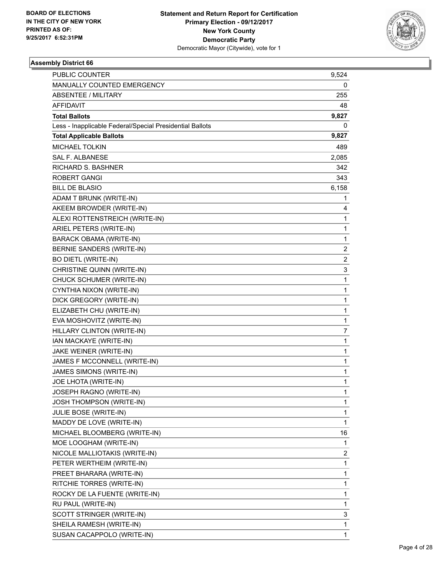

| PUBLIC COUNTER                                           | 9,524          |
|----------------------------------------------------------|----------------|
| MANUALLY COUNTED EMERGENCY                               | 0              |
| <b>ABSENTEE / MILITARY</b>                               | 255            |
| AFFIDAVIT                                                | 48             |
| <b>Total Ballots</b>                                     | 9,827          |
| Less - Inapplicable Federal/Special Presidential Ballots | 0              |
| <b>Total Applicable Ballots</b>                          | 9,827          |
| <b>MICHAEL TOLKIN</b>                                    | 489            |
| <b>SAL F. ALBANESE</b>                                   | 2,085          |
| <b>RICHARD S. BASHNER</b>                                | 342            |
| <b>ROBERT GANGI</b>                                      | 343            |
| <b>BILL DE BLASIO</b>                                    | 6,158          |
| ADAM T BRUNK (WRITE-IN)                                  | 1              |
| AKEEM BROWDER (WRITE-IN)                                 | 4              |
| ALEXI ROTTENSTREICH (WRITE-IN)                           | 1              |
| ARIEL PETERS (WRITE-IN)                                  | $\mathbf 1$    |
| <b>BARACK OBAMA (WRITE-IN)</b>                           | $\mathbf{1}$   |
| <b>BERNIE SANDERS (WRITE-IN)</b>                         | 2              |
| <b>BO DIETL (WRITE-IN)</b>                               | $\overline{2}$ |
| CHRISTINE QUINN (WRITE-IN)                               | 3              |
| CHUCK SCHUMER (WRITE-IN)                                 | $\mathbf{1}$   |
| CYNTHIA NIXON (WRITE-IN)                                 | 1              |
| DICK GREGORY (WRITE-IN)                                  | $\mathbf{1}$   |
| ELIZABETH CHU (WRITE-IN)                                 | 1              |
| EVA MOSHOVITZ (WRITE-IN)                                 | $\mathbf{1}$   |
| HILLARY CLINTON (WRITE-IN)                               | $\overline{7}$ |
| IAN MACKAYE (WRITE-IN)                                   | 1              |
| JAKE WEINER (WRITE-IN)                                   | 1              |
| JAMES F MCCONNELL (WRITE-IN)                             | $\mathbf{1}$   |
| JAMES SIMONS (WRITE-IN)                                  | 1              |
| JOE LHOTA (WRITE-IN)                                     | 1              |
| JOSEPH RAGNO (WRITE-IN)                                  | $\mathbf{1}$   |
| <b>JOSH THOMPSON (WRITE-IN)</b>                          | 1              |
| JULIE BOSE (WRITE-IN)                                    | 1              |
| MADDY DE LOVE (WRITE-IN)                                 | 1              |
| MICHAEL BLOOMBERG (WRITE-IN)                             | 16             |
| MOE LOOGHAM (WRITE-IN)                                   | 1              |
| NICOLE MALLIOTAKIS (WRITE-IN)                            | 2              |
| PETER WERTHEIM (WRITE-IN)                                | 1              |
| PREET BHARARA (WRITE-IN)                                 | 1              |
| RITCHIE TORRES (WRITE-IN)                                | 1              |
| ROCKY DE LA FUENTE (WRITE-IN)                            | 1              |
| RU PAUL (WRITE-IN)                                       | 1              |
| SCOTT STRINGER (WRITE-IN)                                | 3              |
| SHEILA RAMESH (WRITE-IN)                                 | 1              |
| SUSAN CACAPPOLO (WRITE-IN)                               | 1              |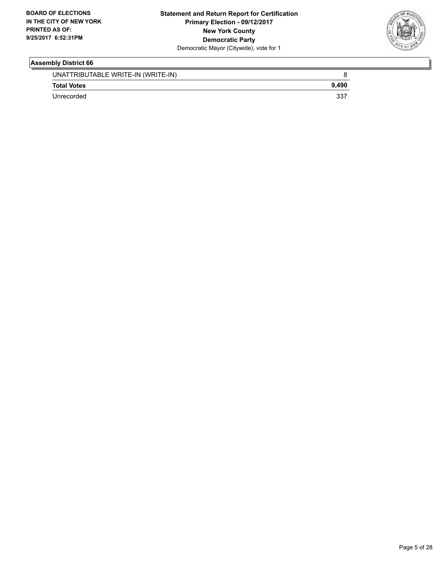

| UNATTRIBUTABLE WRITE-IN (WRITE-IN) |       |
|------------------------------------|-------|
| <b>Total Votes</b>                 | 9.490 |
| Unrecorded                         | 337   |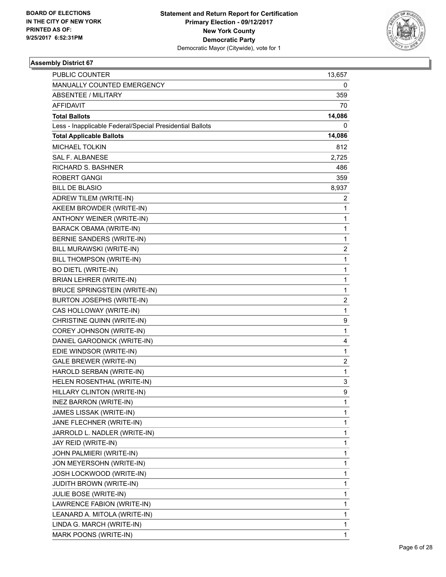

| PUBLIC COUNTER                                           | 13,657 |
|----------------------------------------------------------|--------|
| MANUALLY COUNTED EMERGENCY                               | 0      |
| <b>ABSENTEE / MILITARY</b>                               | 359    |
| <b>AFFIDAVIT</b>                                         | 70     |
| <b>Total Ballots</b>                                     | 14,086 |
| Less - Inapplicable Federal/Special Presidential Ballots | 0      |
| <b>Total Applicable Ballots</b>                          | 14,086 |
| <b>MICHAEL TOLKIN</b>                                    | 812    |
| <b>SAL F. ALBANESE</b>                                   | 2,725  |
| <b>RICHARD S. BASHNER</b>                                | 486    |
| <b>ROBERT GANGI</b>                                      | 359    |
| <b>BILL DE BLASIO</b>                                    | 8,937  |
| ADREW TILEM (WRITE-IN)                                   | 2      |
| AKEEM BROWDER (WRITE-IN)                                 | 1      |
| ANTHONY WEINER (WRITE-IN)                                | 1      |
| BARACK OBAMA (WRITE-IN)                                  | 1      |
| BERNIE SANDERS (WRITE-IN)                                | 1      |
| BILL MURAWSKI (WRITE-IN)                                 | 2      |
| BILL THOMPSON (WRITE-IN)                                 | 1      |
| <b>BO DIETL (WRITE-IN)</b>                               | 1      |
| BRIAN LEHRER (WRITE-IN)                                  | 1      |
| <b>BRUCE SPRINGSTEIN (WRITE-IN)</b>                      | 1      |
| BURTON JOSEPHS (WRITE-IN)                                | 2      |
| CAS HOLLOWAY (WRITE-IN)                                  | 1      |
| CHRISTINE QUINN (WRITE-IN)                               | 9      |
| COREY JOHNSON (WRITE-IN)                                 | 1      |
| DANIEL GARODNICK (WRITE-IN)                              | 4      |
| EDIE WINDSOR (WRITE-IN)                                  | 1      |
| <b>GALE BREWER (WRITE-IN)</b>                            | 2      |
| HAROLD SERBAN (WRITE-IN)                                 | 1      |
| HELEN ROSENTHAL (WRITE-IN)                               | 3      |
| HILLARY CLINTON (WRITE-IN)                               | 9      |
| INEZ BARRON (WRITE-IN)                                   | 1      |
| JAMES LISSAK (WRITE-IN)                                  | 1      |
| JANE FLECHNER (WRITE-IN)                                 | 1      |
| JARROLD L. NADLER (WRITE-IN)                             | 1      |
| JAY REID (WRITE-IN)                                      | 1      |
| JOHN PALMIERI (WRITE-IN)                                 | 1      |
| JON MEYERSOHN (WRITE-IN)                                 | 1      |
| JOSH LOCKWOOD (WRITE-IN)                                 | 1      |
| JUDITH BROWN (WRITE-IN)                                  | 1      |
| JULIE BOSE (WRITE-IN)                                    | 1      |
| LAWRENCE FABION (WRITE-IN)                               | 1      |
| LEANARD A. MITOLA (WRITE-IN)                             | 1      |
| LINDA G. MARCH (WRITE-IN)                                | 1      |
| MARK POONS (WRITE-IN)                                    | 1      |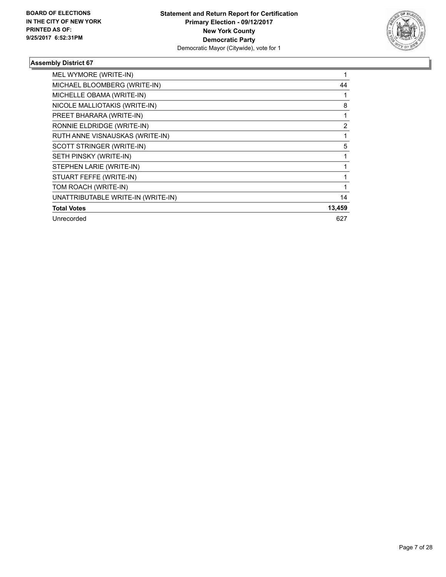

| MEL WYMORE (WRITE-IN)              |                |
|------------------------------------|----------------|
| MICHAEL BLOOMBERG (WRITE-IN)       | 44             |
| MICHELLE OBAMA (WRITE-IN)          |                |
| NICOLE MALLIOTAKIS (WRITE-IN)      | 8              |
| PREET BHARARA (WRITE-IN)           |                |
| RONNIE ELDRIDGE (WRITE-IN)         | $\overline{2}$ |
| RUTH ANNE VISNAUSKAS (WRITE-IN)    |                |
| SCOTT STRINGER (WRITE-IN)          | 5              |
| SETH PINSKY (WRITE-IN)             |                |
| STEPHEN LARIE (WRITE-IN)           |                |
| STUART FEFFE (WRITE-IN)            |                |
| TOM ROACH (WRITE-IN)               |                |
| UNATTRIBUTABLE WRITE-IN (WRITE-IN) | 14             |
| <b>Total Votes</b>                 | 13,459         |
| Unrecorded                         | 627            |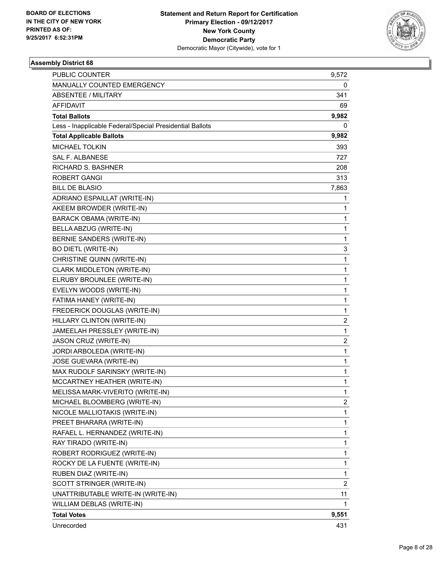

| PUBLIC COUNTER                                           | 9,572                   |
|----------------------------------------------------------|-------------------------|
| MANUALLY COUNTED EMERGENCY                               | 0                       |
| <b>ABSENTEE / MILITARY</b>                               | 341                     |
| AFFIDAVIT                                                | 69                      |
| <b>Total Ballots</b>                                     | 9,982                   |
| Less - Inapplicable Federal/Special Presidential Ballots | 0                       |
| <b>Total Applicable Ballots</b>                          | 9,982                   |
| <b>MICHAEL TOLKIN</b>                                    | 393                     |
| <b>SAL F. ALBANESE</b>                                   | 727                     |
| RICHARD S. BASHNER                                       | 208                     |
| <b>ROBERT GANGI</b>                                      | 313                     |
| <b>BILL DE BLASIO</b>                                    | 7,863                   |
| ADRIANO ESPAILLAT (WRITE-IN)                             | 1                       |
| AKEEM BROWDER (WRITE-IN)                                 | 1                       |
| BARACK OBAMA (WRITE-IN)                                  | 1                       |
| BELLA ABZUG (WRITE-IN)                                   | $\mathbf 1$             |
| BERNIE SANDERS (WRITE-IN)                                | 1                       |
| <b>BO DIETL (WRITE-IN)</b>                               | 3                       |
| CHRISTINE QUINN (WRITE-IN)                               | 1                       |
| CLARK MIDDLETON (WRITE-IN)                               | $\mathbf{1}$            |
| ELRUBY BROUNLEE (WRITE-IN)                               | 1                       |
| EVELYN WOODS (WRITE-IN)                                  | $\mathbf 1$             |
| FATIMA HANEY (WRITE-IN)                                  | $\mathbf{1}$            |
| FREDERICK DOUGLAS (WRITE-IN)                             | 1                       |
| HILLARY CLINTON (WRITE-IN)                               | $\overline{2}$          |
| JAMEELAH PRESSLEY (WRITE-IN)                             | $\mathbf{1}$            |
| JASON CRUZ (WRITE-IN)                                    | $\overline{\mathbf{c}}$ |
| JORDI ARBOLEDA (WRITE-IN)                                | $\mathbf 1$             |
| JOSE GUEVARA (WRITE-IN)                                  | 1                       |
| MAX RUDOLF SARINSKY (WRITE-IN)                           | 1                       |
| MCCARTNEY HEATHER (WRITE-IN)                             | 1                       |
| MELISSA MARK-VIVERITO (WRITE-IN)                         | $\mathbf{1}$            |
| MICHAEL BLOOMBERG (WRITE-IN)                             | $\mathbf{2}$            |
| NICOLE MALLIOTAKIS (WRITE-IN)                            | 1                       |
| PREET BHARARA (WRITE-IN)                                 | 1                       |
| RAFAEL L. HERNANDEZ (WRITE-IN)                           | 1                       |
| RAY TIRADO (WRITE-IN)                                    | 1                       |
| ROBERT RODRIGUEZ (WRITE-IN)                              | 1                       |
| ROCKY DE LA FUENTE (WRITE-IN)                            | 1                       |
| RUBEN DIAZ (WRITE-IN)                                    | 1                       |
| SCOTT STRINGER (WRITE-IN)                                | 2                       |
| UNATTRIBUTABLE WRITE-IN (WRITE-IN)                       | 11                      |
| WILLIAM DEBLAS (WRITE-IN)                                | 1                       |
| <b>Total Votes</b>                                       | 9,551                   |
| Unrecorded                                               | 431                     |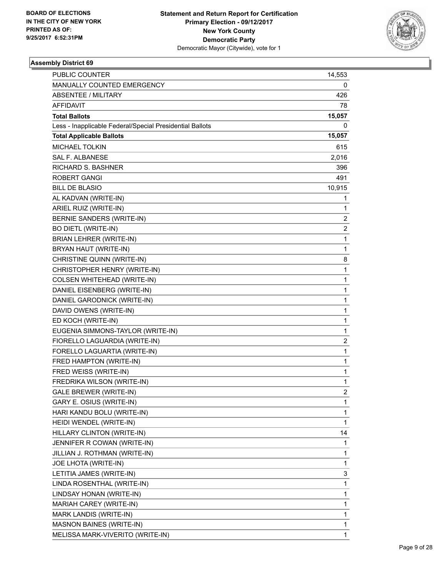

| PUBLIC COUNTER                                           | 14,553                  |
|----------------------------------------------------------|-------------------------|
| MANUALLY COUNTED EMERGENCY                               | 0                       |
| <b>ABSENTEE / MILITARY</b>                               | 426                     |
| AFFIDAVIT                                                | 78                      |
| <b>Total Ballots</b>                                     | 15,057                  |
| Less - Inapplicable Federal/Special Presidential Ballots | 0                       |
| <b>Total Applicable Ballots</b>                          | 15,057                  |
| <b>MICHAEL TOLKIN</b>                                    | 615                     |
| <b>SAL F. ALBANESE</b>                                   | 2,016                   |
| RICHARD S. BASHNER                                       | 396                     |
| <b>ROBERT GANGI</b>                                      | 491                     |
| <b>BILL DE BLASIO</b>                                    | 10,915                  |
| AL KADVAN (WRITE-IN)                                     | 1                       |
| ARIEL RUIZ (WRITE-IN)                                    | 1                       |
| <b>BERNIE SANDERS (WRITE-IN)</b>                         | $\overline{\mathbf{c}}$ |
| <b>BO DIETL (WRITE-IN)</b>                               | $\overline{c}$          |
| BRIAN LEHRER (WRITE-IN)                                  | $\mathbf{1}$            |
| BRYAN HAUT (WRITE-IN)                                    | 1                       |
| CHRISTINE QUINN (WRITE-IN)                               | 8                       |
| CHRISTOPHER HENRY (WRITE-IN)                             | $\mathbf{1}$            |
| COLSEN WHITEHEAD (WRITE-IN)                              | 1                       |
| DANIEL EISENBERG (WRITE-IN)                              | $\mathbf 1$             |
| DANIEL GARODNICK (WRITE-IN)                              | $\mathbf{1}$            |
| DAVID OWENS (WRITE-IN)                                   | 1                       |
| ED KOCH (WRITE-IN)                                       | 1                       |
| EUGENIA SIMMONS-TAYLOR (WRITE-IN)                        | $\mathbf{1}$            |
| FIORELLO LAGUARDIA (WRITE-IN)                            | $\overline{\mathbf{c}}$ |
| FORELLO LAGUARTIA (WRITE-IN)                             | 1                       |
| FRED HAMPTON (WRITE-IN)                                  | $\mathbf{1}$            |
| FRED WEISS (WRITE-IN)                                    | 1                       |
| FREDRIKA WILSON (WRITE-IN)                               | 1                       |
| <b>GALE BREWER (WRITE-IN)</b>                            | $\overline{c}$          |
| GARY E. OSIUS (WRITE-IN)                                 | 1                       |
| HARI KANDU BOLU (WRITE-IN)                               | 1                       |
| HEIDI WENDEL (WRITE-IN)                                  | 1                       |
| HILLARY CLINTON (WRITE-IN)                               | 14                      |
| JENNIFER R COWAN (WRITE-IN)                              | 1                       |
| JILLIAN J. ROTHMAN (WRITE-IN)                            | 1                       |
| JOE LHOTA (WRITE-IN)                                     | 1                       |
| LETITIA JAMES (WRITE-IN)                                 | 3                       |
| LINDA ROSENTHAL (WRITE-IN)                               | 1                       |
| LINDSAY HONAN (WRITE-IN)                                 | 1                       |
| MARIAH CAREY (WRITE-IN)                                  | 1                       |
| MARK LANDIS (WRITE-IN)                                   | 1                       |
| <b>MASNON BAINES (WRITE-IN)</b>                          | 1                       |
| MELISSA MARK-VIVERITO (WRITE-IN)                         | 1                       |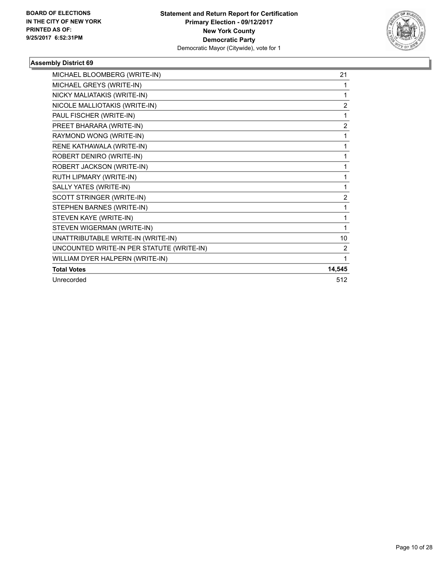

| MICHAEL BLOOMBERG (WRITE-IN)              | 21     |
|-------------------------------------------|--------|
| MICHAEL GREYS (WRITE-IN)                  | 1      |
| NICKY MALIATAKIS (WRITE-IN)               | 1      |
| NICOLE MALLIOTAKIS (WRITE-IN)             | 2      |
| PAUL FISCHER (WRITE-IN)                   | 1      |
| PREET BHARARA (WRITE-IN)                  | 2      |
| RAYMOND WONG (WRITE-IN)                   | 1      |
| RENE KATHAWALA (WRITE-IN)                 | 1      |
| ROBERT DENIRO (WRITE-IN)                  | 1      |
| ROBERT JACKSON (WRITE-IN)                 | 1      |
| RUTH LIPMARY (WRITE-IN)                   | 1      |
| SALLY YATES (WRITE-IN)                    | 1      |
| SCOTT STRINGER (WRITE-IN)                 | 2      |
| STEPHEN BARNES (WRITE-IN)                 | 1      |
| STEVEN KAYE (WRITE-IN)                    | 1      |
| STEVEN WIGERMAN (WRITE-IN)                | 1      |
| UNATTRIBUTABLE WRITE-IN (WRITE-IN)        | 10     |
| UNCOUNTED WRITE-IN PER STATUTE (WRITE-IN) | 2      |
| WILLIAM DYER HALPERN (WRITE-IN)           | 1      |
| <b>Total Votes</b>                        | 14,545 |
| Unrecorded                                | 512    |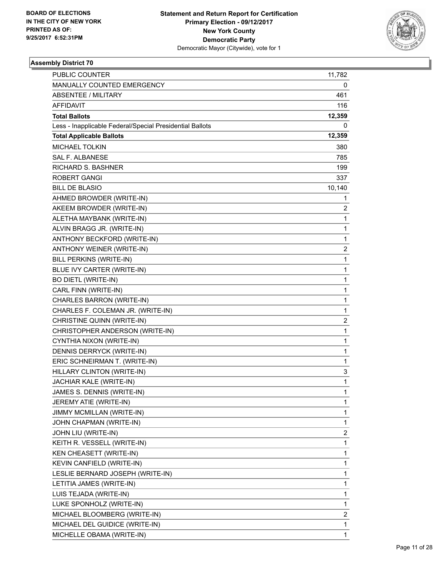

| PUBLIC COUNTER                                           | 11,782         |
|----------------------------------------------------------|----------------|
| MANUALLY COUNTED EMERGENCY                               | 0              |
| <b>ABSENTEE / MILITARY</b>                               | 461            |
| AFFIDAVIT                                                | 116            |
| <b>Total Ballots</b>                                     | 12,359         |
| Less - Inapplicable Federal/Special Presidential Ballots | 0              |
| <b>Total Applicable Ballots</b>                          | 12,359         |
| <b>MICHAEL TOLKIN</b>                                    | 380            |
| <b>SAL F. ALBANESE</b>                                   | 785            |
| <b>RICHARD S. BASHNER</b>                                | 199            |
| <b>ROBERT GANGI</b>                                      | 337            |
| <b>BILL DE BLASIO</b>                                    | 10,140         |
| AHMED BROWDER (WRITE-IN)                                 | 1              |
| AKEEM BROWDER (WRITE-IN)                                 | 2              |
| ALETHA MAYBANK (WRITE-IN)                                | 1              |
| ALVIN BRAGG JR. (WRITE-IN)                               | $\mathbf 1$    |
| ANTHONY BECKFORD (WRITE-IN)                              | 1              |
| ANTHONY WEINER (WRITE-IN)                                | 2              |
| <b>BILL PERKINS (WRITE-IN)</b>                           | 1              |
| BLUE IVY CARTER (WRITE-IN)                               | $\mathbf{1}$   |
| <b>BO DIETL (WRITE-IN)</b>                               | 1              |
| CARL FINN (WRITE-IN)                                     | $\mathbf 1$    |
| CHARLES BARRON (WRITE-IN)                                | $\mathbf{1}$   |
| CHARLES F. COLEMAN JR. (WRITE-IN)                        | 1              |
| CHRISTINE QUINN (WRITE-IN)                               | $\overline{2}$ |
| CHRISTOPHER ANDERSON (WRITE-IN)                          | $\mathbf{1}$   |
| CYNTHIA NIXON (WRITE-IN)                                 | 1              |
| DENNIS DERRYCK (WRITE-IN)                                | $\mathbf 1$    |
| ERIC SCHNEIRMAN T. (WRITE-IN)                            | 1              |
| HILLARY CLINTON (WRITE-IN)                               | 3              |
| JACHIAR KALE (WRITE-IN)                                  | 1              |
| JAMES S. DENNIS (WRITE-IN)                               | $\mathbf{1}$   |
| JEREMY ATIE (WRITE-IN)                                   | 1              |
| JIMMY MCMILLAN (WRITE-IN)                                | 1              |
| JOHN CHAPMAN (WRITE-IN)                                  | 1              |
| JOHN LIU (WRITE-IN)                                      | 2              |
| KEITH R. VESSELL (WRITE-IN)                              | 1              |
| KEN CHEASETT (WRITE-IN)                                  | 1              |
| KEVIN CANFIELD (WRITE-IN)                                | 1              |
| LESLIE BERNARD JOSEPH (WRITE-IN)                         | 1              |
| LETITIA JAMES (WRITE-IN)                                 | 1              |
| LUIS TEJADA (WRITE-IN)                                   | 1              |
| LUKE SPONHOLZ (WRITE-IN)                                 | 1              |
| MICHAEL BLOOMBERG (WRITE-IN)                             | 2              |
| MICHAEL DEL GUIDICE (WRITE-IN)                           | 1              |
| MICHELLE OBAMA (WRITE-IN)                                | 1              |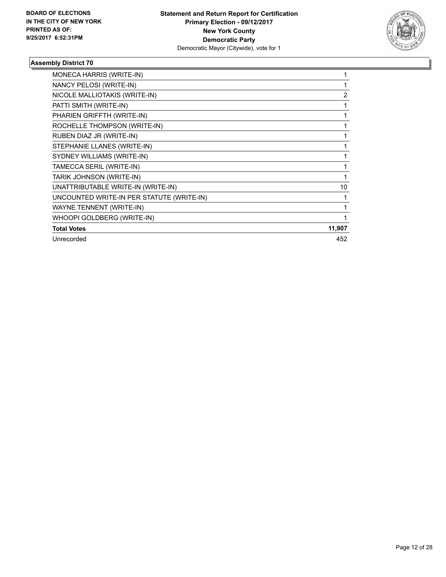

| MONECA HARRIS (WRITE-IN)                  |                |
|-------------------------------------------|----------------|
| NANCY PELOSI (WRITE-IN)                   |                |
| NICOLE MALLIOTAKIS (WRITE-IN)             | $\overline{2}$ |
| PATTI SMITH (WRITE-IN)                    |                |
| PHARIEN GRIFFTH (WRITE-IN)                |                |
| ROCHELLE THOMPSON (WRITE-IN)              |                |
| RUBEN DIAZ JR (WRITE-IN)                  |                |
| STEPHANIE LLANES (WRITE-IN)               |                |
| SYDNEY WILLIAMS (WRITE-IN)                | 1              |
| TAMECCA SERIL (WRITE-IN)                  |                |
| TARIK JOHNSON (WRITE-IN)                  |                |
| UNATTRIBUTABLE WRITE-IN (WRITE-IN)        | 10             |
| UNCOUNTED WRITE-IN PER STATUTE (WRITE-IN) |                |
| WAYNE TENNENT (WRITE-IN)                  | 1              |
| WHOOPI GOLDBERG (WRITE-IN)                |                |
| <b>Total Votes</b>                        | 11,907         |
| Unrecorded                                | 452            |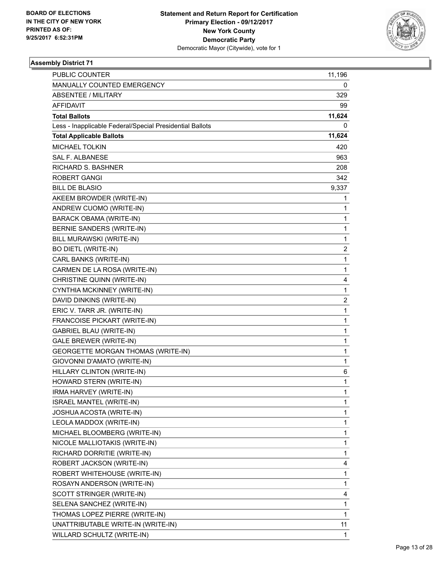

| PUBLIC COUNTER                                           | 11,196       |
|----------------------------------------------------------|--------------|
| MANUALLY COUNTED EMERGENCY                               | 0            |
| ABSENTEE / MILITARY                                      | 329          |
| <b>AFFIDAVIT</b>                                         | 99           |
| <b>Total Ballots</b>                                     | 11,624       |
| Less - Inapplicable Federal/Special Presidential Ballots | 0            |
| <b>Total Applicable Ballots</b>                          | 11,624       |
| <b>MICHAEL TOLKIN</b>                                    | 420          |
| <b>SAL F. ALBANESE</b>                                   | 963          |
| <b>RICHARD S. BASHNER</b>                                | 208          |
| <b>ROBERT GANGI</b>                                      | 342          |
| <b>BILL DE BLASIO</b>                                    | 9,337        |
| AKEEM BROWDER (WRITE-IN)                                 | 1            |
| ANDREW CUOMO (WRITE-IN)                                  | 1            |
| <b>BARACK OBAMA (WRITE-IN)</b>                           | 1            |
| BERNIE SANDERS (WRITE-IN)                                | $\mathbf 1$  |
| BILL MURAWSKI (WRITE-IN)                                 | 1            |
| <b>BO DIETL (WRITE-IN)</b>                               | 2            |
| CARL BANKS (WRITE-IN)                                    | 1            |
| CARMEN DE LA ROSA (WRITE-IN)                             | $\mathbf{1}$ |
| CHRISTINE QUINN (WRITE-IN)                               | 4            |
| CYNTHIA MCKINNEY (WRITE-IN)                              | 1            |
| DAVID DINKINS (WRITE-IN)                                 | 2            |
| ERIC V. TARR JR. (WRITE-IN)                              | 1            |
| FRANCOISE PICKART (WRITE-IN)                             | 1            |
| <b>GABRIEL BLAU (WRITE-IN)</b>                           | $\mathbf{1}$ |
| GALE BREWER (WRITE-IN)                                   | 1            |
| GEORGETTE MORGAN THOMAS (WRITE-IN)                       | $\mathbf 1$  |
| GIOVONNI D'AMATO (WRITE-IN)                              | 1            |
| HILLARY CLINTON (WRITE-IN)                               | 6            |
| HOWARD STERN (WRITE-IN)                                  | 1            |
| IRMA HARVEY (WRITE-IN)                                   | $\mathbf 1$  |
| <b>ISRAEL MANTEL (WRITE-IN)</b>                          | 1            |
| JOSHUA ACOSTA (WRITE-IN)                                 | 1            |
| LEOLA MADDOX (WRITE-IN)                                  | 1            |
| MICHAEL BLOOMBERG (WRITE-IN)                             | 1            |
| NICOLE MALLIOTAKIS (WRITE-IN)                            | 1            |
| RICHARD DORRITIE (WRITE-IN)                              | 1            |
| ROBERT JACKSON (WRITE-IN)                                | 4            |
| ROBERT WHITEHOUSE (WRITE-IN)                             | 1            |
| ROSAYN ANDERSON (WRITE-IN)                               | 1            |
| SCOTT STRINGER (WRITE-IN)                                | 4            |
| SELENA SANCHEZ (WRITE-IN)                                | 1            |
| THOMAS LOPEZ PIERRE (WRITE-IN)                           | 1            |
| UNATTRIBUTABLE WRITE-IN (WRITE-IN)                       | 11           |
| WILLARD SCHULTZ (WRITE-IN)                               | 1            |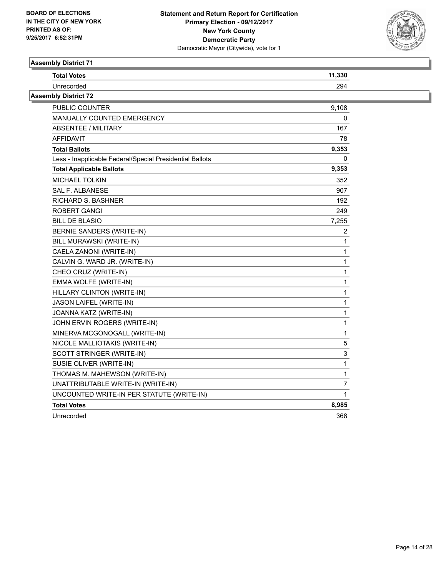

| <b>Total Votes</b>                                       | 11,330 |
|----------------------------------------------------------|--------|
| Unrecorded                                               | 294    |
| <b>Assembly District 72</b>                              |        |
| PUBLIC COUNTER                                           | 9,108  |
| <b>MANUALLY COUNTED EMERGENCY</b>                        | 0      |
| ABSENTEE / MILITARY                                      | 167    |
| <b>AFFIDAVIT</b>                                         | 78     |
| <b>Total Ballots</b>                                     | 9,353  |
| Less - Inapplicable Federal/Special Presidential Ballots | 0      |
| <b>Total Applicable Ballots</b>                          | 9,353  |
| <b>MICHAEL TOLKIN</b>                                    | 352    |
| SAL F. ALBANESE                                          | 907    |
| RICHARD S. BASHNER                                       | 192    |
| ROBERT GANGI                                             | 249    |
| <b>BILL DE BLASIO</b>                                    | 7,255  |
| BERNIE SANDERS (WRITE-IN)                                | 2      |
| BILL MURAWSKI (WRITE-IN)                                 |        |
| CAELA ZANONI (WRITE-IN)                                  | 1      |
| CALVIN G. WARD JR. (WRITE-IN)                            | 1      |
| CHEO CRUZ (WRITE-IN)                                     |        |
| EMMA WOLFE (WRITE-IN)                                    | 1      |
| HILLARY CLINTON (WRITE-IN)                               | 1      |
| JASON LAIFEL (WRITE-IN)                                  |        |
| JOANNA KATZ (WRITE-IN)                                   | 1      |
| JOHN ERVIN ROGERS (WRITE-IN)                             | 1      |
| MINERVA MCGONOGALL (WRITE-IN)                            | 1      |
| NICOLE MALLIOTAKIS (WRITE-IN)                            | 5      |
| SCOTT STRINGER (WRITE-IN)                                | 3      |
| SUSIE OLIVER (WRITE-IN)                                  | 1      |
| THOMAS M. MAHEWSON (WRITE-IN)                            | 1      |
| UNATTRIBUTABLE WRITE-IN (WRITE-IN)                       | 7      |
| UNCOUNTED WRITE-IN PER STATUTE (WRITE-IN)                |        |
| <b>Total Votes</b>                                       | 8,985  |
| Unrecorded                                               | 368    |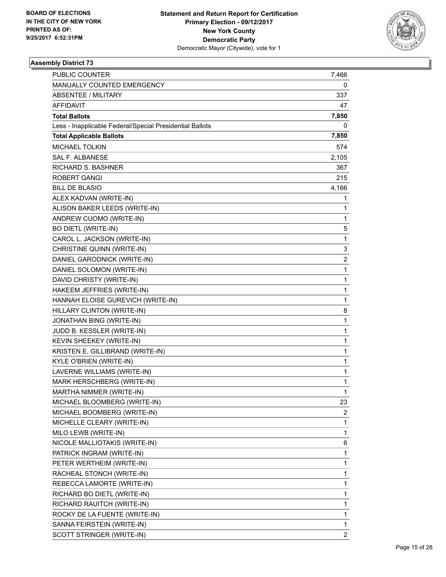

| <b>PUBLIC COUNTER</b>                                    | 7,466                   |
|----------------------------------------------------------|-------------------------|
| MANUALLY COUNTED EMERGENCY                               | 0                       |
| <b>ABSENTEE / MILITARY</b>                               | 337                     |
| <b>AFFIDAVIT</b>                                         | 47                      |
| <b>Total Ballots</b>                                     | 7,850                   |
| Less - Inapplicable Federal/Special Presidential Ballots | 0                       |
| <b>Total Applicable Ballots</b>                          | 7,850                   |
| <b>MICHAEL TOLKIN</b>                                    | 574                     |
| SAL F. ALBANESE                                          | 2,105                   |
| <b>RICHARD S. BASHNER</b>                                | 367                     |
| <b>ROBERT GANGI</b>                                      | 215                     |
| <b>BILL DE BLASIO</b>                                    | 4,166                   |
| ALEX KADVAN (WRITE-IN)                                   | 1                       |
| ALISON BAKER LEEDS (WRITE-IN)                            | 1                       |
| ANDREW CUOMO (WRITE-IN)                                  | 1                       |
| <b>BO DIETL (WRITE-IN)</b>                               | 5                       |
| CAROL L. JACKSON (WRITE-IN)                              | 1                       |
| <b>CHRISTINE QUINN (WRITE-IN)</b>                        | 3                       |
| DANIEL GARODNICK (WRITE-IN)                              | $\overline{\mathbf{c}}$ |
| DANIEL SOLOMON (WRITE-IN)                                | 1                       |
| DAVID CHRISTY (WRITE-IN)                                 | 1                       |
| HAKEEM JEFFRIES (WRITE-IN)                               | 1                       |
| HANNAH ELOISE GUREVICH (WRITE-IN)                        | 1                       |
| HILLARY CLINTON (WRITE-IN)                               | 8                       |
| JONATHAN BING (WRITE-IN)                                 | 1                       |
| JUDD B. KESSLER (WRITE-IN)                               | 1                       |
| KEVIN SHEEKEY (WRITE-IN)                                 | 1                       |
| KRISTEN E. GILLIBRAND (WRITE-IN)                         | 1                       |
| <b>KYLE O'BRIEN (WRITE-IN)</b>                           | 1                       |
| LAVERNE WILLIAMS (WRITE-IN)                              | 1                       |
| MARK HERSCHBERG (WRITE-IN)                               | 1                       |
| MARTHA NIMMER (WRITE-IN)                                 | 1                       |
| MICHAEL BLOOMBERG (WRITE-IN)                             | 23                      |
| MICHAEL BOOMBERG (WRITE-IN)                              | 2                       |
| MICHELLE CLEARY (WRITE-IN)                               | 1                       |
| MILO LEWB (WRITE-IN)                                     | 1                       |
| NICOLE MALLIOTAKIS (WRITE-IN)                            | 6                       |
| PATRICK INGRAM (WRITE-IN)                                | 1                       |
| PETER WERTHEIM (WRITE-IN)                                | 1                       |
| RACHEAL STONCH (WRITE-IN)                                | 1                       |
| REBECCA LAMORTE (WRITE-IN)                               | 1                       |
| RICHARD BO DIETL (WRITE-IN)                              | 1                       |
| RICHARD RAUITCH (WRITE-IN)                               | 1                       |
| ROCKY DE LA FUENTE (WRITE-IN)                            | 1                       |
| SANNA FEIRSTEIN (WRITE-IN)                               | 1                       |
| SCOTT STRINGER (WRITE-IN)                                | $\overline{2}$          |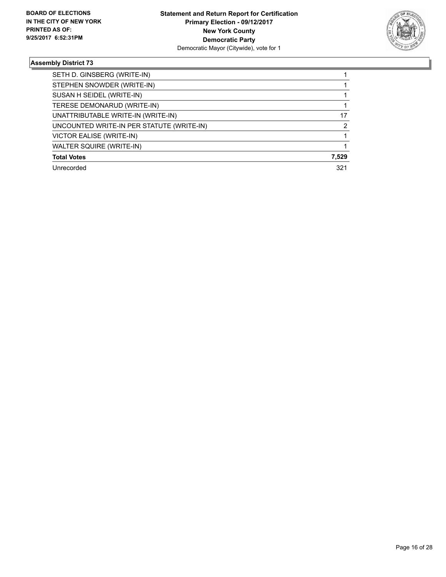

| SETH D. GINSBERG (WRITE-IN)               |       |
|-------------------------------------------|-------|
| STEPHEN SNOWDER (WRITE-IN)                |       |
| SUSAN H SEIDEL (WRITE-IN)                 |       |
| TERESE DEMONARUD (WRITE-IN)               |       |
| UNATTRIBUTABLE WRITE-IN (WRITE-IN)        | 17    |
| UNCOUNTED WRITE-IN PER STATUTE (WRITE-IN) | 2     |
| VICTOR EALISE (WRITE-IN)                  |       |
| WALTER SQUIRE (WRITE-IN)                  |       |
| <b>Total Votes</b>                        | 7,529 |
| Unrecorded                                | 321   |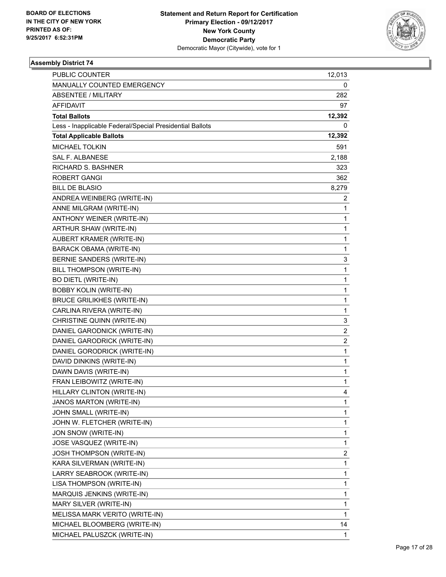

| <b>PUBLIC COUNTER</b>                                    | 12,013                  |
|----------------------------------------------------------|-------------------------|
| MANUALLY COUNTED EMERGENCY                               | 0                       |
| ABSENTEE / MILITARY                                      | 282                     |
| <b>AFFIDAVIT</b>                                         | 97                      |
| <b>Total Ballots</b>                                     | 12,392                  |
| Less - Inapplicable Federal/Special Presidential Ballots | 0                       |
| <b>Total Applicable Ballots</b>                          | 12,392                  |
| <b>MICHAEL TOLKIN</b>                                    | 591                     |
| <b>SAL F. ALBANESE</b>                                   | 2,188                   |
| <b>RICHARD S. BASHNER</b>                                | 323                     |
| <b>ROBERT GANGI</b>                                      | 362                     |
| <b>BILL DE BLASIO</b>                                    | 8,279                   |
| ANDREA WEINBERG (WRITE-IN)                               | 2                       |
| ANNE MILGRAM (WRITE-IN)                                  | 1                       |
| ANTHONY WEINER (WRITE-IN)                                | $\mathbf{1}$            |
| ARTHUR SHAW (WRITE-IN)                                   | 1                       |
| AUBERT KRAMER (WRITE-IN)                                 | 1                       |
| BARACK OBAMA (WRITE-IN)                                  | 1                       |
| BERNIE SANDERS (WRITE-IN)                                | 3                       |
| BILL THOMPSON (WRITE-IN)                                 | 1                       |
| <b>BO DIETL (WRITE-IN)</b>                               | $\mathbf{1}$            |
| <b>BOBBY KOLIN (WRITE-IN)</b>                            | 1                       |
| <b>BRUCE GRILIKHES (WRITE-IN)</b>                        | 1                       |
| CARLINA RIVERA (WRITE-IN)                                | 1                       |
| CHRISTINE QUINN (WRITE-IN)                               | 3                       |
| DANIEL GARODNICK (WRITE-IN)                              | 2                       |
| DANIEL GARODRICK (WRITE-IN)                              | $\overline{\mathbf{c}}$ |
| DANIEL GORODRICK (WRITE-IN)                              | 1                       |
| DAVID DINKINS (WRITE-IN)                                 | 1                       |
| DAWN DAVIS (WRITE-IN)                                    | $\mathbf{1}$            |
| FRAN LEIBOWITZ (WRITE-IN)                                | 1                       |
| HILLARY CLINTON (WRITE-IN)                               | 4                       |
| JANOS MARTON (WRITE-IN)                                  | 1                       |
| JOHN SMALL (WRITE-IN)                                    | 1                       |
| JOHN W. FLETCHER (WRITE-IN)                              | 1                       |
| JON SNOW (WRITE-IN)                                      | 1                       |
| JOSE VASQUEZ (WRITE-IN)                                  | 1                       |
| <b>JOSH THOMPSON (WRITE-IN)</b>                          | 2                       |
| KARA SILVERMAN (WRITE-IN)                                | 1                       |
| LARRY SEABROOK (WRITE-IN)                                | 1                       |
| LISA THOMPSON (WRITE-IN)                                 | 1                       |
| MARQUIS JENKINS (WRITE-IN)                               | 1                       |
| MARY SILVER (WRITE-IN)                                   | 1                       |
| MELISSA MARK VERITO (WRITE-IN)                           | 1                       |
| MICHAEL BLOOMBERG (WRITE-IN)                             | 14                      |
| MICHAEL PALUSZCK (WRITE-IN)                              | 1                       |
|                                                          |                         |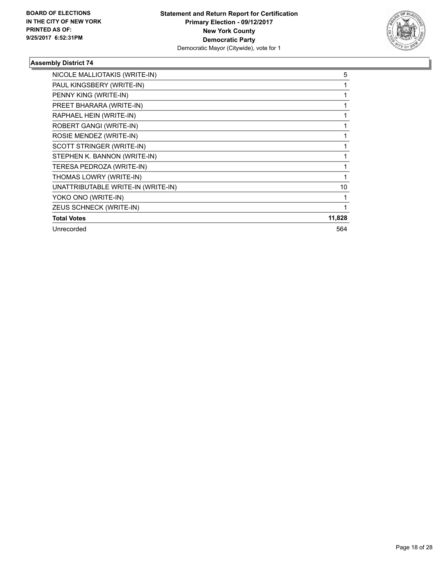

| NICOLE MALLIOTAKIS (WRITE-IN)      | 5      |
|------------------------------------|--------|
| PAUL KINGSBERY (WRITE-IN)          |        |
| PENNY KING (WRITE-IN)              |        |
| PREET BHARARA (WRITE-IN)           |        |
| RAPHAEL HEIN (WRITE-IN)            |        |
| ROBERT GANGI (WRITE-IN)            |        |
| ROSIE MENDEZ (WRITE-IN)            |        |
| SCOTT STRINGER (WRITE-IN)          |        |
| STEPHEN K. BANNON (WRITE-IN)       |        |
| TERESA PEDROZA (WRITE-IN)          |        |
| THOMAS LOWRY (WRITE-IN)            |        |
| UNATTRIBUTABLE WRITE-IN (WRITE-IN) | 10     |
| YOKO ONO (WRITE-IN)                |        |
| ZEUS SCHNECK (WRITE-IN)            |        |
| <b>Total Votes</b>                 | 11,828 |
| Unrecorded                         | 564    |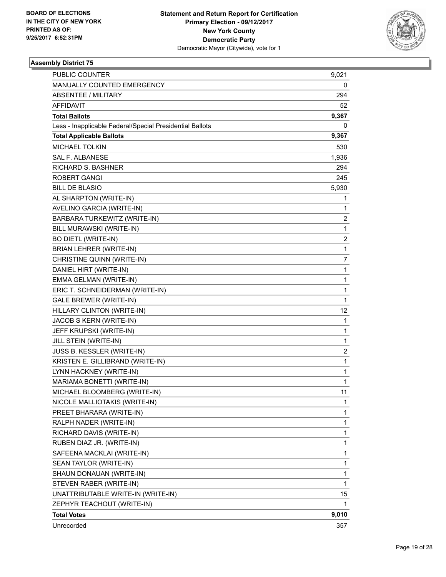

| <b>PUBLIC COUNTER</b>                                    | 9,021                   |
|----------------------------------------------------------|-------------------------|
| MANUALLY COUNTED EMERGENCY                               | 0                       |
| <b>ABSENTEE / MILITARY</b>                               | 294                     |
| AFFIDAVIT                                                | 52                      |
| <b>Total Ballots</b>                                     | 9,367                   |
| Less - Inapplicable Federal/Special Presidential Ballots | 0                       |
| <b>Total Applicable Ballots</b>                          | 9,367                   |
| <b>MICHAEL TOLKIN</b>                                    | 530                     |
| <b>SAL F. ALBANESE</b>                                   | 1,936                   |
| <b>RICHARD S. BASHNER</b>                                | 294                     |
| <b>ROBERT GANGI</b>                                      | 245                     |
| <b>BILL DE BLASIO</b>                                    | 5,930                   |
| AL SHARPTON (WRITE-IN)                                   | 1                       |
| AVELINO GARCIA (WRITE-IN)                                | 1                       |
| <b>BARBARA TURKEWITZ (WRITE-IN)</b>                      | $\overline{\mathbf{c}}$ |
| BILL MURAWSKI (WRITE-IN)                                 | $\mathbf 1$             |
| <b>BO DIETL (WRITE-IN)</b>                               | 2                       |
| BRIAN LEHRER (WRITE-IN)                                  | $\mathbf{1}$            |
| CHRISTINE QUINN (WRITE-IN)                               | 7                       |
| DANIEL HIRT (WRITE-IN)                                   | $\mathbf{1}$            |
| EMMA GELMAN (WRITE-IN)                                   | 1                       |
| ERIC T. SCHNEIDERMAN (WRITE-IN)                          | $\mathbf 1$             |
| <b>GALE BREWER (WRITE-IN)</b>                            | $\mathbf 1$             |
| HILLARY CLINTON (WRITE-IN)                               | 12                      |
| JACOB S KERN (WRITE-IN)                                  | 1                       |
| JEFF KRUPSKI (WRITE-IN)                                  | $\mathbf{1}$            |
| JILL STEIN (WRITE-IN)                                    | 1                       |
| JUSS B. KESSLER (WRITE-IN)                               | $\overline{c}$          |
| KRISTEN E. GILLIBRAND (WRITE-IN)                         | $\mathbf{1}$            |
| LYNN HACKNEY (WRITE-IN)                                  | 1                       |
| MARIAMA BONETTI (WRITE-IN)                               | 1                       |
| MICHAEL BLOOMBERG (WRITE-IN)                             | 11                      |
| NICOLE MALLIOTAKIS (WRITE-IN)                            | 1                       |
| PREET BHARARA (WRITE-IN)                                 | 1                       |
| RALPH NADER (WRITE-IN)                                   | 1                       |
| RICHARD DAVIS (WRITE-IN)                                 | 1                       |
| RUBEN DIAZ JR. (WRITE-IN)                                | 1                       |
| SAFEENA MACKLAI (WRITE-IN)                               | 1                       |
| SEAN TAYLOR (WRITE-IN)                                   | 1                       |
| SHAUN DONAUAN (WRITE-IN)                                 | 1                       |
| STEVEN RABER (WRITE-IN)                                  | $\mathbf{1}$            |
| UNATTRIBUTABLE WRITE-IN (WRITE-IN)                       | 15                      |
| ZEPHYR TEACHOUT (WRITE-IN)                               | 1                       |
| <b>Total Votes</b>                                       | 9,010                   |
| Unrecorded                                               | 357                     |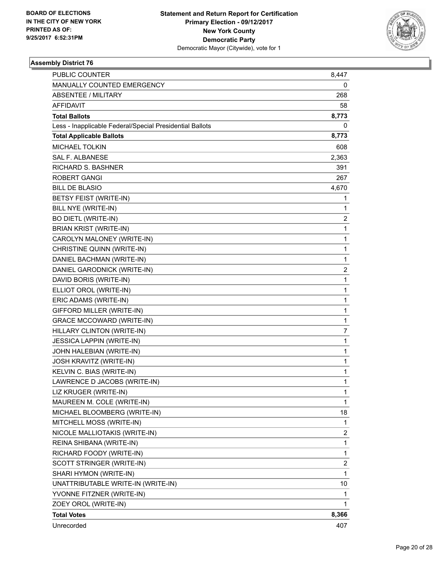

| <b>PUBLIC COUNTER</b>                                    | 8,447                   |
|----------------------------------------------------------|-------------------------|
| MANUALLY COUNTED EMERGENCY                               | 0                       |
| <b>ABSENTEE / MILITARY</b>                               | 268                     |
| AFFIDAVIT                                                | 58                      |
| <b>Total Ballots</b>                                     | 8,773                   |
| Less - Inapplicable Federal/Special Presidential Ballots | 0                       |
| <b>Total Applicable Ballots</b>                          | 8,773                   |
| <b>MICHAEL TOLKIN</b>                                    | 608                     |
| <b>SAL F. ALBANESE</b>                                   | 2,363                   |
| <b>RICHARD S. BASHNER</b>                                | 391                     |
| <b>ROBERT GANGI</b>                                      | 267                     |
| <b>BILL DE BLASIO</b>                                    | 4,670                   |
| BETSY FEIST (WRITE-IN)                                   | 1                       |
| BILL NYE (WRITE-IN)                                      | 1                       |
| <b>BO DIETL (WRITE-IN)</b>                               | $\overline{\mathbf{c}}$ |
| <b>BRIAN KRIST (WRITE-IN)</b>                            | 1                       |
| CAROLYN MALONEY (WRITE-IN)                               | $\mathbf{1}$            |
| CHRISTINE QUINN (WRITE-IN)                               | 1                       |
| DANIEL BACHMAN (WRITE-IN)                                | 1                       |
| DANIEL GARODNICK (WRITE-IN)                              | 2                       |
| DAVID BORIS (WRITE-IN)                                   | $\mathbf{1}$            |
| ELLIOT OROL (WRITE-IN)                                   | $\mathbf 1$             |
| ERIC ADAMS (WRITE-IN)                                    | $\mathbf{1}$            |
| GIFFORD MILLER (WRITE-IN)                                | 1                       |
| <b>GRACE MCCOWARD (WRITE-IN)</b>                         | $\mathbf{1}$            |
| HILLARY CLINTON (WRITE-IN)                               | 7                       |
| JESSICA LAPPIN (WRITE-IN)                                | 1                       |
| JOHN HALEBIAN (WRITE-IN)                                 | $\mathbf 1$             |
| JOSH KRAVITZ (WRITE-IN)                                  | $\mathbf{1}$            |
| KELVIN C. BIAS (WRITE-IN)                                | 1                       |
| LAWRENCE D JACOBS (WRITE-IN)                             | 1                       |
| LIZ KRUGER (WRITE-IN)                                    | $\mathbf{1}$            |
| MAUREEN M. COLE (WRITE-IN)                               | 1                       |
| MICHAEL BLOOMBERG (WRITE-IN)                             | 18                      |
| MITCHELL MOSS (WRITE-IN)                                 | 1                       |
| NICOLE MALLIOTAKIS (WRITE-IN)                            | 2                       |
| REINA SHIBANA (WRITE-IN)                                 | 1                       |
| RICHARD FOODY (WRITE-IN)                                 | 1                       |
| SCOTT STRINGER (WRITE-IN)                                | 2                       |
| SHARI HYMON (WRITE-IN)                                   | 1                       |
| UNATTRIBUTABLE WRITE-IN (WRITE-IN)                       | 10                      |
| YVONNE FITZNER (WRITE-IN)                                | 1                       |
| ZOEY OROL (WRITE-IN)                                     | 1                       |
| <b>Total Votes</b>                                       | 8,366                   |
| Unrecorded                                               | 407                     |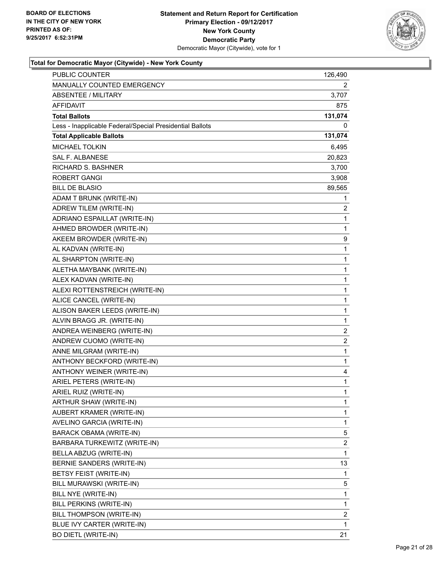

| PUBLIC COUNTER                                           | 126,490      |
|----------------------------------------------------------|--------------|
| MANUALLY COUNTED EMERGENCY                               | 2            |
| <b>ABSENTEE / MILITARY</b>                               | 3,707        |
| AFFIDAVIT                                                | 875          |
| <b>Total Ballots</b>                                     | 131,074      |
| Less - Inapplicable Federal/Special Presidential Ballots | 0            |
| <b>Total Applicable Ballots</b>                          | 131,074      |
| <b>MICHAEL TOLKIN</b>                                    | 6,495        |
| <b>SAL F. ALBANESE</b>                                   | 20,823       |
| <b>RICHARD S. BASHNER</b>                                | 3,700        |
| <b>ROBERT GANGI</b>                                      | 3,908        |
| <b>BILL DE BLASIO</b>                                    | 89,565       |
| ADAM T BRUNK (WRITE-IN)                                  | 1            |
| ADREW TILEM (WRITE-IN)                                   | 2            |
| ADRIANO ESPAILLAT (WRITE-IN)                             | 1            |
| AHMED BROWDER (WRITE-IN)                                 | 1            |
| AKEEM BROWDER (WRITE-IN)                                 | 9            |
| AL KADVAN (WRITE-IN)                                     | 1            |
| AL SHARPTON (WRITE-IN)                                   | 1            |
| ALETHA MAYBANK (WRITE-IN)                                | 1            |
| ALEX KADVAN (WRITE-IN)                                   | $\mathbf{1}$ |
| ALEXI ROTTENSTREICH (WRITE-IN)                           | 1            |
| ALICE CANCEL (WRITE-IN)                                  | 1            |
| ALISON BAKER LEEDS (WRITE-IN)                            | 1            |
| ALVIN BRAGG JR. (WRITE-IN)                               | 1            |
| ANDREA WEINBERG (WRITE-IN)                               | 2            |
| ANDREW CUOMO (WRITE-IN)                                  | 2            |
| ANNE MILGRAM (WRITE-IN)                                  | 1            |
| ANTHONY BECKFORD (WRITE-IN)                              | 1            |
| ANTHONY WEINER (WRITE-IN)                                | 4            |
| ARIEL PETERS (WRITE-IN)                                  | 1            |
| ARIEL RUIZ (WRITE-IN)                                    | $\mathbf{1}$ |
| ARTHUR SHAW (WRITE-IN)                                   | 1            |
| AUBERT KRAMER (WRITE-IN)                                 | 1            |
| AVELINO GARCIA (WRITE-IN)                                | 1            |
| BARACK OBAMA (WRITE-IN)                                  | 5            |
| BARBARA TURKEWITZ (WRITE-IN)                             | 2            |
| BELLA ABZUG (WRITE-IN)                                   | 1            |
| BERNIE SANDERS (WRITE-IN)                                | 13           |
| BETSY FEIST (WRITE-IN)                                   | 1            |
| BILL MURAWSKI (WRITE-IN)                                 | 5            |
| BILL NYE (WRITE-IN)                                      | 1            |
| BILL PERKINS (WRITE-IN)                                  | 1            |
| BILL THOMPSON (WRITE-IN)                                 | 2            |
| BLUE IVY CARTER (WRITE-IN)                               | 1            |
| <b>BO DIETL (WRITE-IN)</b>                               | 21           |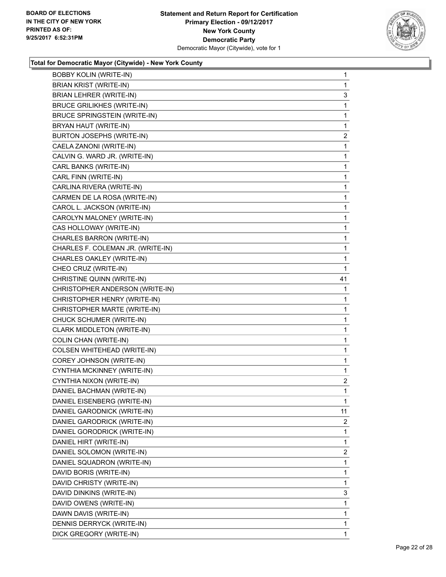

| <b>BOBBY KOLIN (WRITE-IN)</b>       | $\mathbf{1}$ |
|-------------------------------------|--------------|
| <b>BRIAN KRIST (WRITE-IN)</b>       | 1            |
| BRIAN LEHRER (WRITE-IN)             | 3            |
| <b>BRUCE GRILIKHES (WRITE-IN)</b>   | 1            |
| <b>BRUCE SPRINGSTEIN (WRITE-IN)</b> | 1            |
| BRYAN HAUT (WRITE-IN)               | 1            |
| <b>BURTON JOSEPHS (WRITE-IN)</b>    | 2            |
| CAELA ZANONI (WRITE-IN)             | 1            |
| CALVIN G. WARD JR. (WRITE-IN)       | 1            |
| CARL BANKS (WRITE-IN)               | $\mathbf{1}$ |
| CARL FINN (WRITE-IN)                | 1            |
| CARLINA RIVERA (WRITE-IN)           | 1            |
| CARMEN DE LA ROSA (WRITE-IN)        | 1            |
| CAROL L. JACKSON (WRITE-IN)         | 1            |
| CAROLYN MALONEY (WRITE-IN)          | 1            |
| CAS HOLLOWAY (WRITE-IN)             | 1            |
| CHARLES BARRON (WRITE-IN)           | 1            |
| CHARLES F. COLEMAN JR. (WRITE-IN)   | 1            |
| CHARLES OAKLEY (WRITE-IN)           | 1            |
| CHEO CRUZ (WRITE-IN)                | 1            |
| CHRISTINE QUINN (WRITE-IN)          | 41           |
| CHRISTOPHER ANDERSON (WRITE-IN)     | 1            |
| CHRISTOPHER HENRY (WRITE-IN)        | 1            |
|                                     |              |
| CHRISTOPHER MARTE (WRITE-IN)        | 1            |
| CHUCK SCHUMER (WRITE-IN)            | 1            |
| CLARK MIDDLETON (WRITE-IN)          | 1            |
| COLIN CHAN (WRITE-IN)               | 1            |
| COLSEN WHITEHEAD (WRITE-IN)         | 1            |
| COREY JOHNSON (WRITE-IN)            | 1            |
| CYNTHIA MCKINNEY (WRITE-IN)         | 1            |
| CYNTHIA NIXON (WRITE-IN)            | 2            |
| DANIEL BACHMAN (WRITE-IN)           | 1            |
| DANIEL EISENBERG (WRITE-IN)         | 1            |
| DANIEL GARODNICK (WRITE-IN)         | 11           |
| DANIEL GARODRICK (WRITE-IN)         | 2            |
| DANIEL GORODRICK (WRITE-IN)         | 1            |
| DANIEL HIRT (WRITE-IN)              | 1            |
| DANIEL SOLOMON (WRITE-IN)           | 2            |
| DANIEL SQUADRON (WRITE-IN)          | 1            |
| DAVID BORIS (WRITE-IN)              | 1            |
| DAVID CHRISTY (WRITE-IN)            | 1            |
| DAVID DINKINS (WRITE-IN)            | 3            |
| DAVID OWENS (WRITE-IN)              | 1            |
| DAWN DAVIS (WRITE-IN)               | 1            |
| DENNIS DERRYCK (WRITE-IN)           | 1            |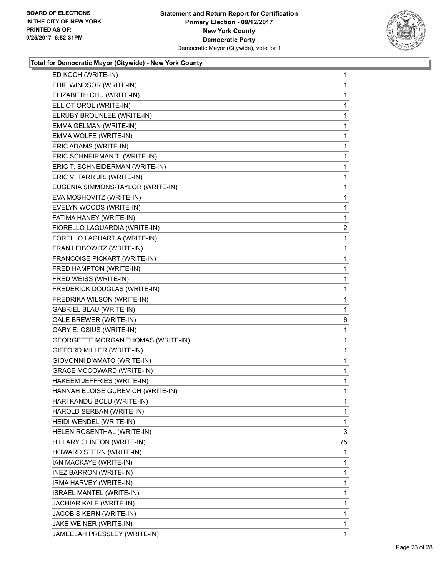

| EDIE WINDSOR (WRITE-IN)                   | 1                       |
|-------------------------------------------|-------------------------|
|                                           | 1                       |
| ELIZABETH CHU (WRITE-IN)                  | 1                       |
| ELLIOT OROL (WRITE-IN)                    | 1                       |
| ELRUBY BROUNLEE (WRITE-IN)                | 1                       |
| EMMA GELMAN (WRITE-IN)                    | 1                       |
| EMMA WOLFE (WRITE-IN)                     | 1                       |
| ERIC ADAMS (WRITE-IN)                     | 1                       |
| ERIC SCHNEIRMAN T. (WRITE-IN)             | 1                       |
| ERIC T. SCHNEIDERMAN (WRITE-IN)           | 1                       |
| ERIC V. TARR JR. (WRITE-IN)               | 1                       |
| EUGENIA SIMMONS-TAYLOR (WRITE-IN)         | 1                       |
| EVA MOSHOVITZ (WRITE-IN)                  | 1                       |
| EVELYN WOODS (WRITE-IN)                   | 1                       |
| FATIMA HANEY (WRITE-IN)                   | 1                       |
| FIORELLO LAGUARDIA (WRITE-IN)             | $\overline{\mathbf{c}}$ |
| FORELLO LAGUARTIA (WRITE-IN)              | 1                       |
| FRAN LEIBOWITZ (WRITE-IN)                 | 1                       |
| FRANCOISE PICKART (WRITE-IN)              | 1                       |
| FRED HAMPTON (WRITE-IN)                   | 1                       |
| FRED WEISS (WRITE-IN)                     | 1                       |
| FREDERICK DOUGLAS (WRITE-IN)              | $\mathbf{1}$            |
| FREDRIKA WILSON (WRITE-IN)                | 1                       |
| <b>GABRIEL BLAU (WRITE-IN)</b>            | 1                       |
| <b>GALE BREWER (WRITE-IN)</b>             | 6                       |
| GARY E. OSIUS (WRITE-IN)                  | 1                       |
| <b>GEORGETTE MORGAN THOMAS (WRITE-IN)</b> | 1                       |
| GIFFORD MILLER (WRITE-IN)                 | 1                       |
| GIOVONNI D'AMATO (WRITE-IN)               | 1                       |
| <b>GRACE MCCOWARD (WRITE-IN)</b>          | 1                       |
| HAKEEM JEFFRIES (WRITE-IN)                | 1                       |
|                                           | 1                       |
| HANNAH ELOISE GUREVICH (WRITE-IN)         |                         |
| HARI KANDU BOLU (WRITE-IN)                | 1                       |
| HAROLD SERBAN (WRITE-IN)                  | 1                       |
| HEIDI WENDEL (WRITE-IN)                   | 1                       |
| HELEN ROSENTHAL (WRITE-IN)                | 3                       |
| HILLARY CLINTON (WRITE-IN)                | 75                      |
| HOWARD STERN (WRITE-IN)                   | 1                       |
| IAN MACKAYE (WRITE-IN)                    | 1                       |
| <b>INEZ BARRON (WRITE-IN)</b>             | 1                       |
| IRMA HARVEY (WRITE-IN)                    | 1                       |
| ISRAEL MANTEL (WRITE-IN)                  | 1                       |
| JACHIAR KALE (WRITE-IN)                   | 1                       |
| JACOB S KERN (WRITE-IN)                   | 1                       |
| JAKE WEINER (WRITE-IN)                    | 1                       |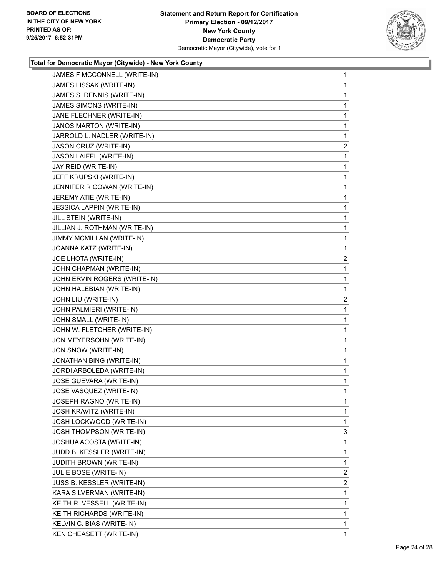

| JAMES F MCCONNELL (WRITE-IN)   | $\mathbf{1}$ |
|--------------------------------|--------------|
| JAMES LISSAK (WRITE-IN)        | $\mathbf{1}$ |
| JAMES S. DENNIS (WRITE-IN)     | 1            |
| JAMES SIMONS (WRITE-IN)        | 1            |
| JANE FLECHNER (WRITE-IN)       | 1            |
| JANOS MARTON (WRITE-IN)        | 1            |
| JARROLD L. NADLER (WRITE-IN)   | 1            |
| JASON CRUZ (WRITE-IN)          | 2            |
| JASON LAIFEL (WRITE-IN)        | 1            |
| JAY REID (WRITE-IN)            | 1            |
| JEFF KRUPSKI (WRITE-IN)        | 1            |
| JENNIFER R COWAN (WRITE-IN)    | 1            |
| JEREMY ATIE (WRITE-IN)         | 1            |
| JESSICA LAPPIN (WRITE-IN)      | 1            |
| JILL STEIN (WRITE-IN)          | 1            |
| JILLIAN J. ROTHMAN (WRITE-IN)  | 1            |
| JIMMY MCMILLAN (WRITE-IN)      | 1            |
| JOANNA KATZ (WRITE-IN)         | 1            |
| JOE LHOTA (WRITE-IN)           | 2            |
| JOHN CHAPMAN (WRITE-IN)        | 1            |
| JOHN ERVIN ROGERS (WRITE-IN)   | 1            |
| JOHN HALEBIAN (WRITE-IN)       | 1            |
| JOHN LIU (WRITE-IN)            | $\mathbf{2}$ |
| JOHN PALMIERI (WRITE-IN)       | 1            |
| JOHN SMALL (WRITE-IN)          | 1            |
| JOHN W. FLETCHER (WRITE-IN)    | 1            |
| JON MEYERSOHN (WRITE-IN)       | 1            |
| JON SNOW (WRITE-IN)            | 1            |
| JONATHAN BING (WRITE-IN)       | 1            |
| JORDI ARBOLEDA (WRITE-IN)      | $\mathbf{1}$ |
| JOSE GUEVARA (WRITE-IN)        | 1            |
| JOSE VASQUEZ (WRITE-IN)        | 1            |
| <b>JOSEPH RAGNO (WRITE-IN)</b> | 1            |
| JOSH KRAVITZ (WRITE-IN)        | 1            |
| JOSH LOCKWOOD (WRITE-IN)       | 1            |
| JOSH THOMPSON (WRITE-IN)       | 3            |
| JOSHUA ACOSTA (WRITE-IN)       | 1            |
| JUDD B. KESSLER (WRITE-IN)     | 1            |
| <b>JUDITH BROWN (WRITE-IN)</b> | 1            |
| JULIE BOSE (WRITE-IN)          | $\mathbf{2}$ |
| JUSS B. KESSLER (WRITE-IN)     | 2            |
| KARA SILVERMAN (WRITE-IN)      | 1            |
| KEITH R. VESSELL (WRITE-IN)    | 1            |
| KEITH RICHARDS (WRITE-IN)      | 1            |
| KELVIN C. BIAS (WRITE-IN)      | 1            |
| KEN CHEASETT (WRITE-IN)        | 1            |
|                                |              |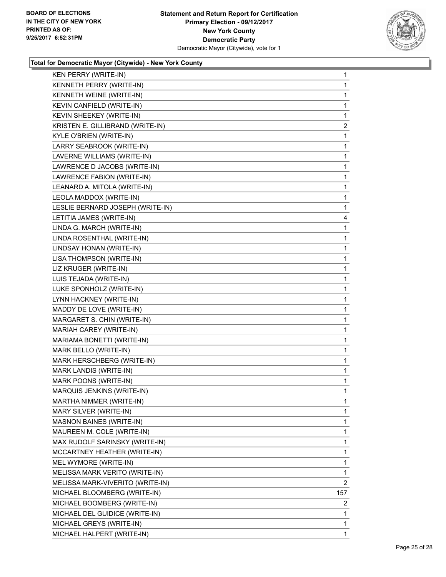

| KEN PERRY (WRITE-IN)             | 1              |
|----------------------------------|----------------|
| KENNETH PERRY (WRITE-IN)         | 1              |
| KENNETH WEINE (WRITE-IN)         | 1              |
| KEVIN CANFIELD (WRITE-IN)        | $\mathbf{1}$   |
| KEVIN SHEEKEY (WRITE-IN)         | 1              |
| KRISTEN E. GILLIBRAND (WRITE-IN) | $\mathbf{2}$   |
| KYLE O'BRIEN (WRITE-IN)          | 1              |
| LARRY SEABROOK (WRITE-IN)        | 1              |
| LAVERNE WILLIAMS (WRITE-IN)      | 1              |
| LAWRENCE D JACOBS (WRITE-IN)     | 1              |
| LAWRENCE FABION (WRITE-IN)       | 1              |
| LEANARD A. MITOLA (WRITE-IN)     | 1              |
| LEOLA MADDOX (WRITE-IN)          | 1              |
| LESLIE BERNARD JOSEPH (WRITE-IN) | 1              |
| LETITIA JAMES (WRITE-IN)         | 4              |
| LINDA G. MARCH (WRITE-IN)        | 1              |
| LINDA ROSENTHAL (WRITE-IN)       | 1              |
| LINDSAY HONAN (WRITE-IN)         | 1              |
| LISA THOMPSON (WRITE-IN)         | 1              |
| LIZ KRUGER (WRITE-IN)            | 1              |
| LUIS TEJADA (WRITE-IN)           | 1              |
| LUKE SPONHOLZ (WRITE-IN)         | $\mathbf{1}$   |
| LYNN HACKNEY (WRITE-IN)          | 1              |
| MADDY DE LOVE (WRITE-IN)         | 1              |
| MARGARET S. CHIN (WRITE-IN)      | 1              |
| MARIAH CAREY (WRITE-IN)          | 1              |
| MARIAMA BONETTI (WRITE-IN)       | 1              |
| MARK BELLO (WRITE-IN)            | $\mathbf{1}$   |
| MARK HERSCHBERG (WRITE-IN)       | 1              |
| MARK LANDIS (WRITE-IN)           | 1              |
| MARK POONS (WRITE-IN)            | 1              |
| MARQUIS JENKINS (WRITE-IN)       | 1              |
| MARTHA NIMMER (WRITE-IN)         | 1              |
| MARY SILVER (WRITE-IN)           | 1              |
| <b>MASNON BAINES (WRITE-IN)</b>  | 1              |
| MAUREEN M. COLE (WRITE-IN)       | 1              |
| MAX RUDOLF SARINSKY (WRITE-IN)   | 1              |
| MCCARTNEY HEATHER (WRITE-IN)     | 1              |
| MEL WYMORE (WRITE-IN)            | 1              |
| MELISSA MARK VERITO (WRITE-IN)   | 1              |
| MELISSA MARK-VIVERITO (WRITE-IN) | $\overline{2}$ |
| MICHAEL BLOOMBERG (WRITE-IN)     | 157            |
| MICHAEL BOOMBERG (WRITE-IN)      | 2              |
| MICHAEL DEL GUIDICE (WRITE-IN)   | 1              |
| MICHAEL GREYS (WRITE-IN)         | 1              |
| MICHAEL HALPERT (WRITE-IN)       | 1              |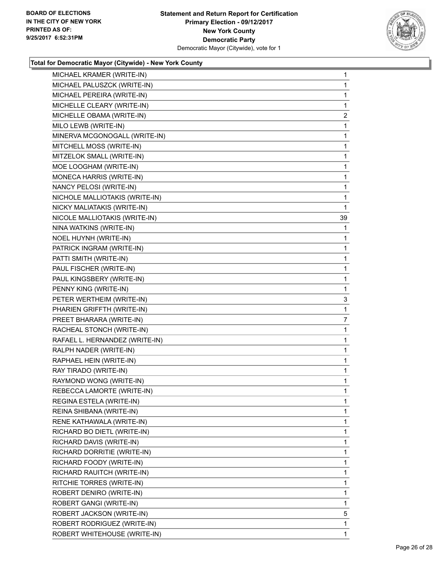

| MICHAEL KRAMER (WRITE-IN)      | $\mathbf{1}$ |
|--------------------------------|--------------|
| MICHAEL PALUSZCK (WRITE-IN)    | $\mathbf{1}$ |
| MICHAEL PEREIRA (WRITE-IN)     | $\mathbf{1}$ |
| MICHELLE CLEARY (WRITE-IN)     | 1            |
| MICHELLE OBAMA (WRITE-IN)      | 2            |
| MILO LEWB (WRITE-IN)           | 1            |
| MINERVA MCGONOGALL (WRITE-IN)  | $\mathbf{1}$ |
| MITCHELL MOSS (WRITE-IN)       | $\mathbf{1}$ |
| MITZELOK SMALL (WRITE-IN)      | 1            |
| MOE LOOGHAM (WRITE-IN)         | 1            |
| MONECA HARRIS (WRITE-IN)       | $\mathbf{1}$ |
| NANCY PELOSI (WRITE-IN)        | 1            |
| NICHOLE MALLIOTAKIS (WRITE-IN) | 1            |
| NICKY MALIATAKIS (WRITE-IN)    | 1            |
| NICOLE MALLIOTAKIS (WRITE-IN)  | 39           |
| NINA WATKINS (WRITE-IN)        | 1            |
| NOEL HUYNH (WRITE-IN)          | 1            |
| PATRICK INGRAM (WRITE-IN)      | 1            |
| PATTI SMITH (WRITE-IN)         | 1            |
| PAUL FISCHER (WRITE-IN)        | $\mathbf{1}$ |
| PAUL KINGSBERY (WRITE-IN)      | 1            |
| PENNY KING (WRITE-IN)          | 1            |
| PETER WERTHEIM (WRITE-IN)      | 3            |
| PHARIEN GRIFFTH (WRITE-IN)     | 1            |
| PREET BHARARA (WRITE-IN)       | 7            |
| RACHEAL STONCH (WRITE-IN)      | $\mathbf{1}$ |
| RAFAEL L. HERNANDEZ (WRITE-IN) | 1            |
| RALPH NADER (WRITE-IN)         | 1            |
| RAPHAEL HEIN (WRITE-IN)        | $\mathbf{1}$ |
| RAY TIRADO (WRITE-IN)          | 1            |
| RAYMOND WONG (WRITE-IN)        | $\mathbf{1}$ |
| REBECCA LAMORTE (WRITE-IN)     | $\mathbf{1}$ |
| REGINA ESTELA (WRITE-IN)       | 1            |
| REINA SHIBANA (WRITE-IN)       | 1            |
| RENE KATHAWALA (WRITE-IN)      | 1            |
| RICHARD BO DIETL (WRITE-IN)    | 1            |
| RICHARD DAVIS (WRITE-IN)       | 1            |
| RICHARD DORRITIE (WRITE-IN)    | 1            |
| RICHARD FOODY (WRITE-IN)       | 1            |
| RICHARD RAUITCH (WRITE-IN)     | 1            |
| RITCHIE TORRES (WRITE-IN)      | 1            |
| ROBERT DENIRO (WRITE-IN)       | 1            |
| ROBERT GANGI (WRITE-IN)        | 1            |
| ROBERT JACKSON (WRITE-IN)      | 5            |
| ROBERT RODRIGUEZ (WRITE-IN)    | 1            |
| ROBERT WHITEHOUSE (WRITE-IN)   | 1            |
|                                |              |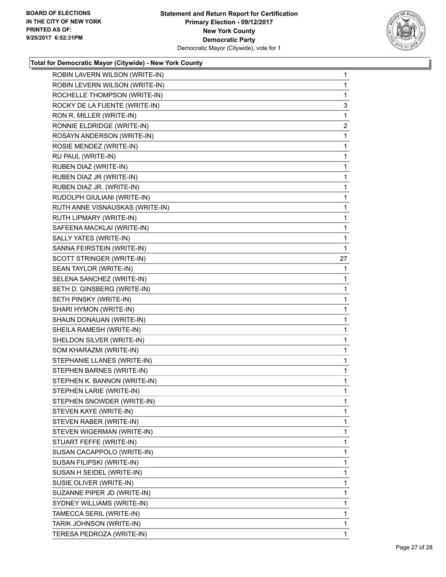

| ROBIN LAVERN WILSON (WRITE-IN)  | 1            |
|---------------------------------|--------------|
| ROBIN LEVERN WILSON (WRITE-IN)  | 1            |
| ROCHELLE THOMPSON (WRITE-IN)    | 1            |
| ROCKY DE LA FUENTE (WRITE-IN)   | 3            |
| RON R. MILLER (WRITE-IN)        | $\mathbf{1}$ |
| RONNIE ELDRIDGE (WRITE-IN)      | 2            |
| ROSAYN ANDERSON (WRITE-IN)      | 1            |
| ROSIE MENDEZ (WRITE-IN)         | 1            |
| RU PAUL (WRITE-IN)              | 1            |
| RUBEN DIAZ (WRITE-IN)           | $\mathbf{1}$ |
| RUBEN DIAZ JR (WRITE-IN)        | 1            |
| RUBEN DIAZ JR. (WRITE-IN)       | 1            |
| RUDOLPH GIULIANI (WRITE-IN)     | $\mathbf{1}$ |
| RUTH ANNE VISNAUSKAS (WRITE-IN) | 1            |
| RUTH LIPMARY (WRITE-IN)         | 1            |
| SAFEENA MACKLAI (WRITE-IN)      | $\mathbf{1}$ |
| SALLY YATES (WRITE-IN)          | 1            |
| SANNA FEIRSTEIN (WRITE-IN)      | 1            |
| SCOTT STRINGER (WRITE-IN)       | 27           |
| SEAN TAYLOR (WRITE-IN)          | 1            |
| SELENA SANCHEZ (WRITE-IN)       | 1            |
| SETH D. GINSBERG (WRITE-IN)     | $\mathbf{1}$ |
| SETH PINSKY (WRITE-IN)          | 1            |
| SHARI HYMON (WRITE-IN)          | 1            |
| SHAUN DONAUAN (WRITE-IN)        | $\mathbf{1}$ |
| SHEILA RAMESH (WRITE-IN)        | 1            |
| SHELDON SILVER (WRITE-IN)       | 1            |
| SOM KHARAZMI (WRITE-IN)         | $\mathbf{1}$ |
| STEPHANIE LLANES (WRITE-IN)     | 1            |
| STEPHEN BARNES (WRITE-IN)       | 1            |
| STEPHEN K. BANNON (WRITE-IN)    | $\mathbf{1}$ |
| STEPHEN LARIE (WRITE-IN)        | 1            |
| STEPHEN SNOWDER (WRITE-IN)      | 1            |
| STEVEN KAYE (WRITE-IN)          | $\mathbf{1}$ |
| STEVEN RABER (WRITE-IN)         | 1            |
| STEVEN WIGERMAN (WRITE-IN)      | 1            |
| STUART FEFFE (WRITE-IN)         | $\mathbf{1}$ |
| SUSAN CACAPPOLO (WRITE-IN)      | 1            |
| SUSAN FILIPSKI (WRITE-IN)       | 1            |
| SUSAN H SEIDEL (WRITE-IN)       | $\mathbf{1}$ |
| SUSIE OLIVER (WRITE-IN)         | 1            |
| SUZANNE PIPER JD (WRITE-IN)     | 1            |
| SYDNEY WILLIAMS (WRITE-IN)      | $\mathbf{1}$ |
| TAMECCA SERIL (WRITE-IN)        | 1            |
| TARIK JOHNSON (WRITE-IN)        | 1            |
| TERESA PEDROZA (WRITE-IN)       | $\mathbf{1}$ |
|                                 |              |